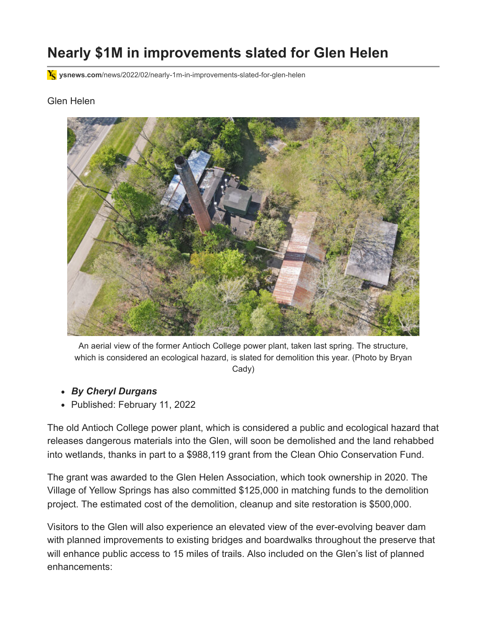## **Nearly \$1M in improvements slated for Glen Helen**

**ysnews.com**[/news/2022/02/nearly-1m-in-improvements-slated-for-glen-helen](https://ysnews.com/news/2022/02/nearly-1m-in-improvements-slated-for-glen-helen)

## Glen Helen



An aerial view of the former Antioch College power plant, taken last spring. The structure, which is considered an ecological hazard, is slated for demolition this year. (Photo by Bryan Cady)

- *By [Cheryl Durgans](https://ysnews.com/news/author/cheryl-durgans)*
- Published: [February 11, 2022](https://ysnews.com/news/2022/02/)

The old Antioch College power plant, which is considered a public and ecological hazard that releases dangerous materials into the Glen, will soon be demolished and the land rehabbed into wetlands, thanks in part to a \$988,119 grant from the Clean Ohio Conservation Fund.

The grant was awarded to the Glen Helen Association, which took ownership in 2020. The Village of Yellow Springs has also committed \$125,000 in matching funds to the demolition project. The estimated cost of the demolition, cleanup and site restoration is \$500,000.

Visitors to the Glen will also experience an elevated view of the ever-evolving beaver dam with planned improvements to existing bridges and boardwalks throughout the preserve that will enhance public access to 15 miles of trails. Also included on the Glen's list of planned enhancements: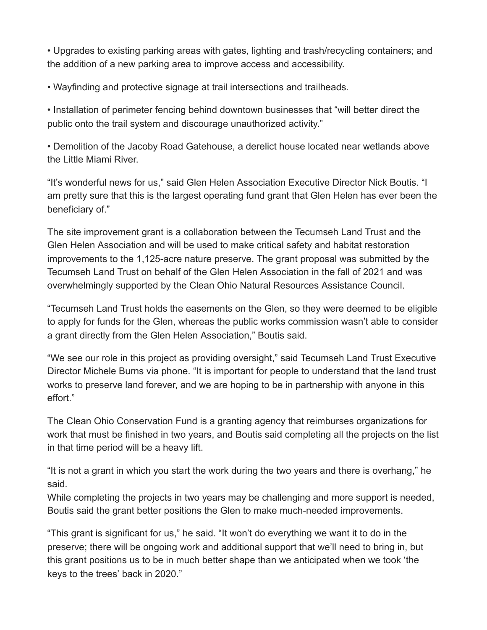• Upgrades to existing parking areas with gates, lighting and trash/recycling containers; and the addition of a new parking area to improve access and accessibility.

• Wayfinding and protective signage at trail intersections and trailheads.

• Installation of perimeter fencing behind downtown businesses that "will better direct the public onto the trail system and discourage unauthorized activity."

• Demolition of the Jacoby Road Gatehouse, a derelict house located near wetlands above the Little Miami River.

"It's wonderful news for us," said Glen Helen Association Executive Director Nick Boutis. "I am pretty sure that this is the largest operating fund grant that Glen Helen has ever been the beneficiary of."

The site improvement grant is a collaboration between the Tecumseh Land Trust and the Glen Helen Association and will be used to make critical safety and habitat restoration improvements to the 1,125-acre nature preserve. The grant proposal was submitted by the Tecumseh Land Trust on behalf of the Glen Helen Association in the fall of 2021 and was overwhelmingly supported by the Clean Ohio Natural Resources Assistance Council.

"Tecumseh Land Trust holds the easements on the Glen, so they were deemed to be eligible to apply for funds for the Glen, whereas the public works commission wasn't able to consider a grant directly from the Glen Helen Association," Boutis said.

"We see our role in this project as providing oversight," said Tecumseh Land Trust Executive Director Michele Burns via phone. "It is important for people to understand that the land trust works to preserve land forever, and we are hoping to be in partnership with anyone in this effort."

The Clean Ohio Conservation Fund is a granting agency that reimburses organizations for work that must be finished in two years, and Boutis said completing all the projects on the list in that time period will be a heavy lift.

"It is not a grant in which you start the work during the two years and there is overhang," he said.

While completing the projects in two years may be challenging and more support is needed, Boutis said the grant better positions the Glen to make much-needed improvements.

"This grant is significant for us," he said. "It won't do everything we want it to do in the preserve; there will be ongoing work and additional support that we'll need to bring in, but this grant positions us to be in much better shape than we anticipated when we took 'the keys to the trees' back in 2020."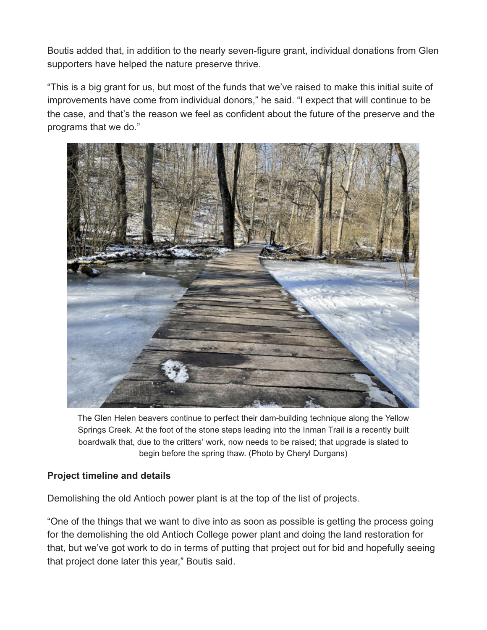Boutis added that, in addition to the nearly seven-figure grant, individual donations from Glen supporters have helped the nature preserve thrive.

"This is a big grant for us, but most of the funds that we've raised to make this initial suite of improvements have come from individual donors," he said. "I expect that will continue to be the case, and that's the reason we feel as confident about the future of the preserve and the programs that we do."



The Glen Helen beavers continue to perfect their dam-building technique along the Yellow Springs Creek. At the foot of the stone steps leading into the Inman Trail is a recently built boardwalk that, due to the critters' work, now needs to be raised; that upgrade is slated to begin before the spring thaw. (Photo by Cheryl Durgans)

## **Project timeline and details**

Demolishing the old Antioch power plant is at the top of the list of projects.

"One of the things that we want to dive into as soon as possible is getting the process going for the demolishing the old Antioch College power plant and doing the land restoration for that, but we've got work to do in terms of putting that project out for bid and hopefully seeing that project done later this year," Boutis said.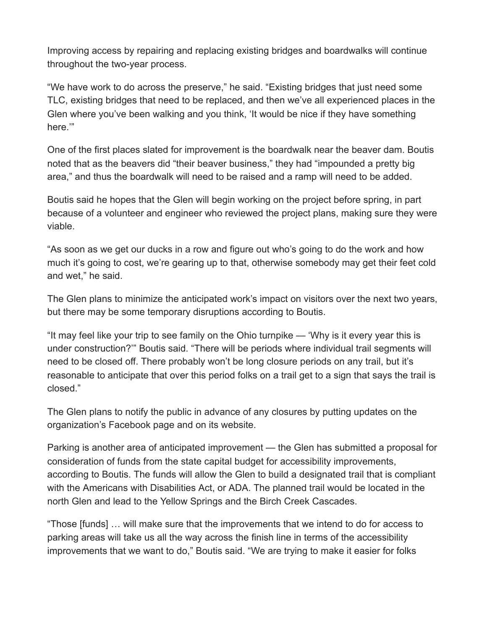Improving access by repairing and replacing existing bridges and boardwalks will continue throughout the two-year process.

"We have work to do across the preserve," he said. "Existing bridges that just need some TLC, existing bridges that need to be replaced, and then we've all experienced places in the Glen where you've been walking and you think, 'It would be nice if they have something here.'"

One of the first places slated for improvement is the boardwalk near the beaver dam. Boutis noted that as the beavers did "their beaver business," they had "impounded a pretty big area," and thus the boardwalk will need to be raised and a ramp will need to be added.

Boutis said he hopes that the Glen will begin working on the project before spring, in part because of a volunteer and engineer who reviewed the project plans, making sure they were viable.

"As soon as we get our ducks in a row and figure out who's going to do the work and how much it's going to cost, we're gearing up to that, otherwise somebody may get their feet cold and wet," he said.

The Glen plans to minimize the anticipated work's impact on visitors over the next two years, but there may be some temporary disruptions according to Boutis.

"It may feel like your trip to see family on the Ohio turnpike — 'Why is it every year this is under construction?'" Boutis said. "There will be periods where individual trail segments will need to be closed off. There probably won't be long closure periods on any trail, but it's reasonable to anticipate that over this period folks on a trail get to a sign that says the trail is closed."

The Glen plans to notify the public in advance of any closures by putting updates on the organization's Facebook page and on its website.

Parking is another area of anticipated improvement — the Glen has submitted a proposal for consideration of funds from the state capital budget for accessibility improvements, according to Boutis. The funds will allow the Glen to build a designated trail that is compliant with the Americans with Disabilities Act, or ADA. The planned trail would be located in the north Glen and lead to the Yellow Springs and the Birch Creek Cascades.

"Those [funds] … will make sure that the improvements that we intend to do for access to parking areas will take us all the way across the finish line in terms of the accessibility improvements that we want to do," Boutis said. "We are trying to make it easier for folks